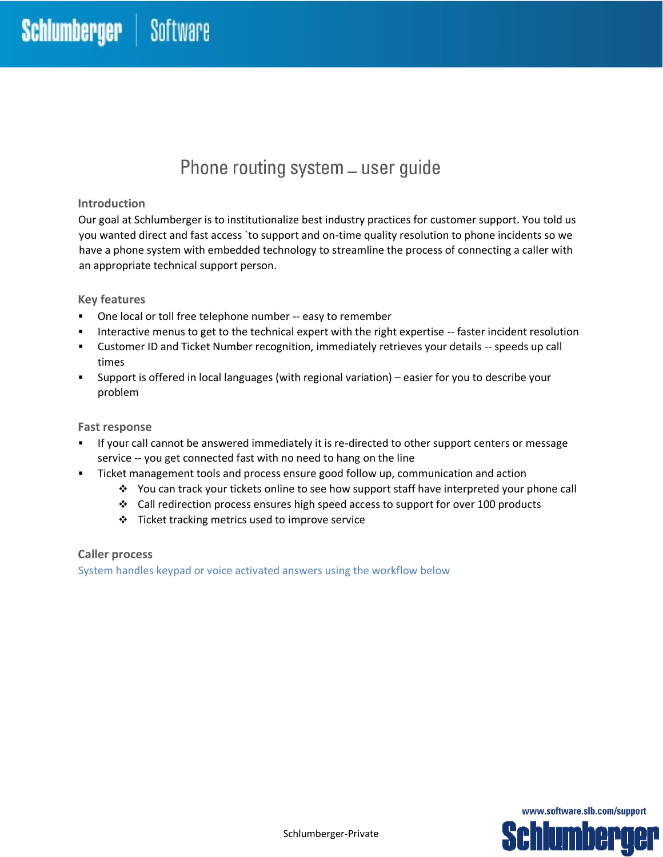# Phone routing system - user guide

### **Introduction**

Our goal at Schlumberger is to institutionalize best industry practices for customer support. You told us you wanted direct and fast access `to support and on-time quality resolution to phone incidents so we have a phone system with embedded technology to streamline the process of connecting a caller with an appropriate technical support person.

#### **Key features**

- One local or toll free telephone number -- easy to remember
- Interactive menus to get to the technical expert with the right expertise -- faster incident resolution
- **EXECUST And Ticket Number recognition, immediately retrieves your details -- speeds up call** times
- Support is offered in local languages (with regional variation) easier for you to describe your problem

#### **Fast response**

- If your call cannot be answered immediately it is re-directed to other support centers or message service -- you get connected fast with no need to hang on the line
- Ticket management tools and process ensure good follow up, communication and action
	- ❖ You can track your tickets online to see how support staff have interpreted your phone call
	- ❖ Call redirection process ensures high speed access to support for over 100 products
	- $\div$  Ticket tracking metrics used to improve service

#### **Caller process**

System handles keypad or voice activated answers using the workflow below